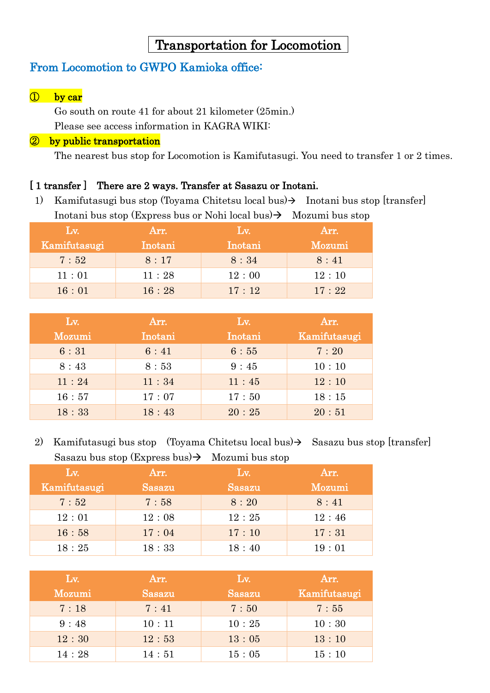# Transportation for Locomotion

### From Locomotion to GWPO Kamioka office:

#### ① by car

Go south on route 41 for about 21 kilometer (25min.) Please see access information in KAGRA WIKI:

#### ② by public transportation

The nearest bus stop for Locomotion is Kamifutasugi. You need to transfer 1 or 2 times.

#### [ 1 transfer ] There are 2 ways. Transfer at Sasazu or Inotani.

1) Kamifutasugi bus stop (Toyama Chitetsu local bus)  $\rightarrow$  Inotani bus stop [transfer] Inotani bus stop (Express bus or Nohi local bus)  $\rightarrow$  Mozumi bus stop

| $Lv$ .       | Arr.    | $L_{\rm V}$ . | Arr.   |
|--------------|---------|---------------|--------|
| Kamifutasugi | Inotani | Inotani       | Mozumi |
| 7:52         | 8:17    | 8:34          | 8:41   |
| 11:01        | 11:28   | 12:00         | 12:10  |
| 16:01        | 16:28   | 17:12         | 17:22  |

| Lv.    | Arr.    | Lv.     | Arr.         |
|--------|---------|---------|--------------|
| Mozumi | Inotani | Inotani | Kamifutasugi |
| 6:31   | 6:41    | 6:55    | 7:20         |
| 8:43   | 8:53    | 9:45    | 10:10        |
| 11:24  | 11:34   | 11:45   | 12:10        |
| 16:57  | 17:07   | 17:50   | 18:15        |
| 18:33  | 18:43   | 20:25   | 20:51        |

2) Kamifutasugi bus stop (Toyama Chitetsu local bus)  $\rightarrow$  Sasazu bus stop [transfer] Sasazu bus stop (Express bus)  $\rightarrow$  Mozumi bus stop

| Lv.          | Arr.   | Lv.    | Arr.   |  |
|--------------|--------|--------|--------|--|
| Kamifutasugi | Sasazu | Sasazu | Mozumi |  |
| 7:52         | 7:58   | 8:20   | 8:41   |  |
| 12:01        | 12:08  | 12:25  | 12:46  |  |
| 16:58        | 17:04  | 17:10  | 17:31  |  |
| 18:25        | 18:33  | 18:40  | 19:01  |  |

| Lv.    | Arr.   | Lv.    | Arr.         |
|--------|--------|--------|--------------|
| Mozumi | Sasazu | Sasazu | Kamifutasugi |
| 7:18   | 7:41   | 7:50   | 7:55         |
| 9:48   | 10:11  | 10:25  | 10:30        |
| 12:30  | 12:53  | 13:05  | 13:10        |
| 14:28  | 14:51  | 15:05  | 15:10        |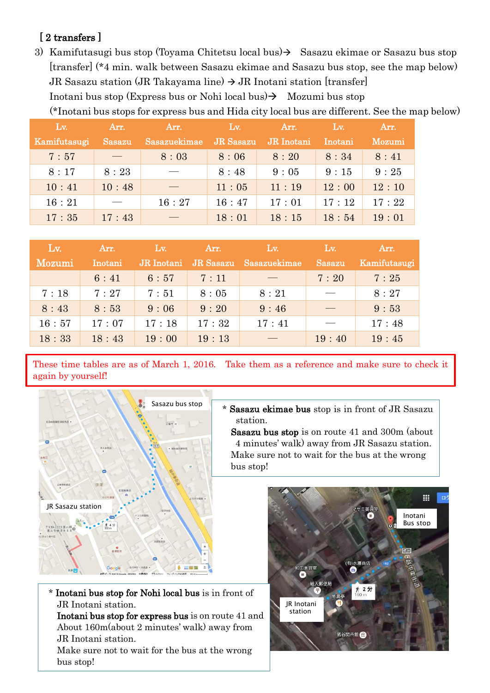### [2 transfers]

3) Kamifutasugi bus stop (Toyama Chitetsu local bus) $\rightarrow$  Sasazu ekimae or Sasazu bus stop [transfer] (\*4 min. walk between Sasazu ekimae and Sasazu bus stop, see the map below) JR Sasazu station (JR Takayama line)  $\rightarrow$  JR Inotani station [transfer]

Inotani bus stop (Express bus or Nohi local bus)  $\rightarrow$  Mozumi bus stop

(\*Inotani bus stops for express bus and Hida city local bus are different. See the map below)

| Lv.          | Arr.          | Arr.         | Lv.       | Arr.       | Lv.     | Arr.   |
|--------------|---------------|--------------|-----------|------------|---------|--------|
| Kamifutasugi | <b>Sasazu</b> | Sasazuekimae | JR Sasazu | JR Inotani | Inotani | Mozumi |
| 7:57         |               | 8:03         | 8:06      | 8:20       | 8:34    | 8:41   |
| 8:17         | 8:23          |              | 8:48      | 9:05       | 9:15    | 9:25   |
| 10:41        | 10:48         |              | 11:05     | 11:19      | 12:00   | 12:10  |
| 16:21        |               | 16:27        | 16:47     | 17:01      | 17:12   | 17:22  |
| 17:35        | 17:43         |              | 18:01     | 18:15      | 18:54   | 19:01  |

| Lv.    | Arr.    | $\sqrt{\text{Lv}}$ | Arr.      | Lv.          | Lv.           | Arr.         |
|--------|---------|--------------------|-----------|--------------|---------------|--------------|
| Mozumi | Inotani | JR Inotani         | JR Sasazu | Sasazuekimae | <b>Sasazu</b> | Kamifutasugi |
|        | 6:41    | 6:57               | 7:11      |              | 7:20          | 7:25         |
| 7:18   | 7:27    | 7:51               | 8:05      | 8:21         |               | 8:27         |
| 8:43   | 8:53    | 9:06               | 9:20      | 9:46         |               | 9:53         |
| 16:57  | 17:07   | 17:18              | 17:32     | 17:41        |               | 17:48        |
| 18:33  | 18:43   | 19:00              | 19:13     |              | 19:40         | 19:45        |

These time tables are as of March 1, 2016. Take them as a reference and make sure to check it again by yourself!



\* Sasazu ekimae bus stop is in front of JR Sasazu station.

Sasazu bus stop is on route 41 and 300m (about 4 minutes' walk) away from JR Sasazu station. Make sure not to wait for the bus at the wrong bus stop!

\* Inotani bus stop for Nohi local bus is in front of JR Inotani station.

Inotani bus stop for express bus is on route 41 and About 160m(about 2 minutes' walk) away from JR Inotani station.

Make sure not to wait for the bus at the wrong bus stop!

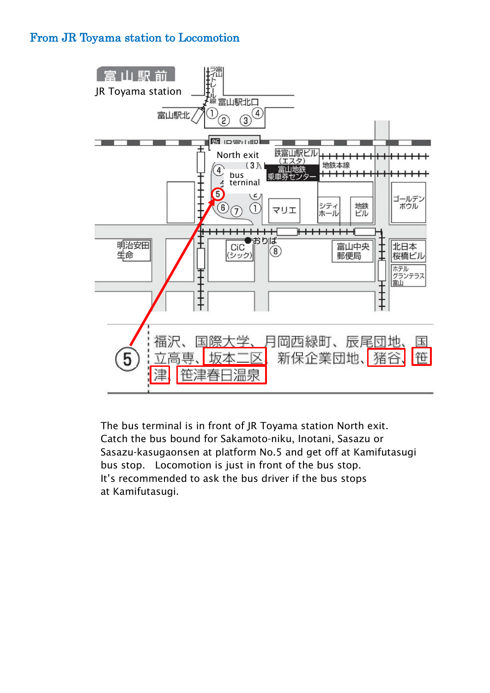## From JR Toyama station to Locomotion



The bus terminal is in front of JR Toyama station North exit. Catch the bus bound for Sakamoto-niku, Inotani, Sasazu or Sasazu-kasugaonsen at platform No.5 and get off at Kamifutasugi bus stop. Locomotion is just in front of the bus stop. It's recommended to ask the bus driver if the bus stops at Kamifutasugi.